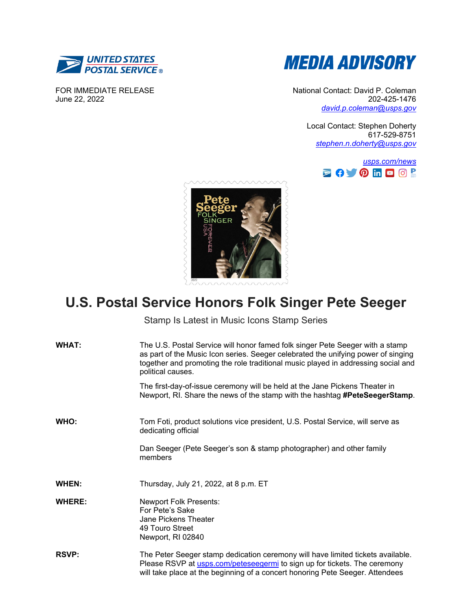

FOR IMMEDIATE RELEASE June 22, 2022



National Contact: David P. Coleman 202-425-1476 *[david.p.coleman@usps.gov](mailto:david.p.coleman@usps.gov)*

> Local Contact: Stephen Doherty 617-529-8751 *[stephen.n.doherty@usps.gov](mailto:stephen.n.doherty@usps.gov)*





## **U.S. Postal Service Honors Folk Singer Pete Seeger**

Stamp Is Latest in Music Icons Stamp Series

| <b>WHAT:</b>  | The U.S. Postal Service will honor famed folk singer Pete Seeger with a stamp<br>as part of the Music Icon series. Seeger celebrated the unifying power of singing<br>together and promoting the role traditional music played in addressing social and<br>political causes. |
|---------------|------------------------------------------------------------------------------------------------------------------------------------------------------------------------------------------------------------------------------------------------------------------------------|
|               | The first-day-of-issue ceremony will be held at the Jane Pickens Theater in<br>Newport, RI. Share the news of the stamp with the hashtag <b>#PeteSeegerStamp</b> .                                                                                                           |
| WHO:          | Tom Foti, product solutions vice president, U.S. Postal Service, will serve as<br>dedicating official                                                                                                                                                                        |
|               | Dan Seeger (Pete Seeger's son & stamp photographer) and other family<br>members                                                                                                                                                                                              |
| WHEN:         | Thursday, July 21, 2022, at 8 p.m. ET                                                                                                                                                                                                                                        |
| <b>WHERE:</b> | <b>Newport Folk Presents:</b><br>For Pete's Sake<br>Jane Pickens Theater<br>49 Touro Street<br>Newport, RI 02840                                                                                                                                                             |
| <b>RSVP:</b>  | The Peter Seeger stamp dedication ceremony will have limited tickets available.<br>Please RSVP at usps.com/peteseegermi to sign up for tickets. The ceremony<br>will take place at the beginning of a concert honoring Pete Seeger. Attendees                                |